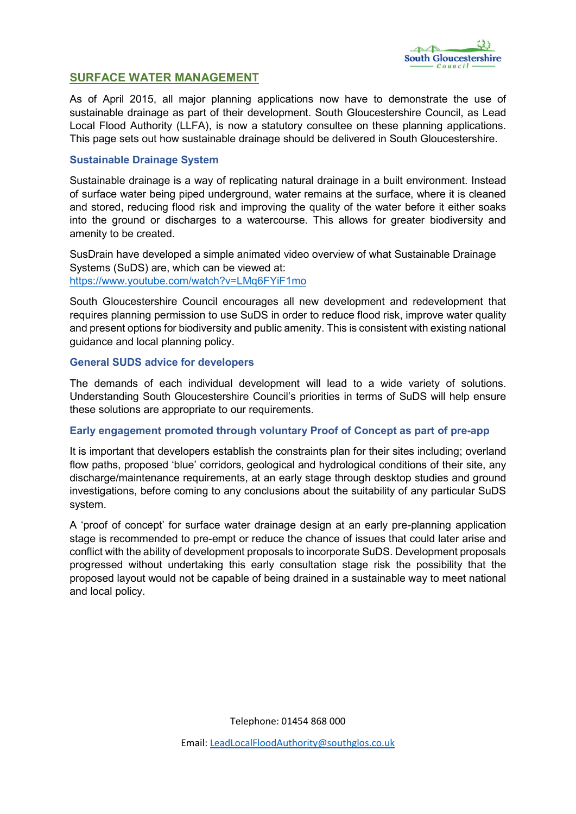

# SURFACE WATER MANAGEMENT

As of April 2015, all major planning applications now have to demonstrate the use of sustainable drainage as part of their development. South Gloucestershire Council, as Lead Local Flood Authority (LLFA), is now a statutory consultee on these planning applications. This page sets out how sustainable drainage should be delivered in South Gloucestershire.

### Sustainable Drainage System

Sustainable drainage is a way of replicating natural drainage in a built environment. Instead of surface water being piped underground, water remains at the surface, where it is cleaned and stored, reducing flood risk and improving the quality of the water before it either soaks into the ground or discharges to a watercourse. This allows for greater biodiversity and amenity to be created.

SusDrain have developed a simple animated video overview of what Sustainable Drainage Systems (SuDS) are, which can be viewed at: <https://www.youtube.com/watch?v=LMq6FYiF1mo>

South Gloucestershire Council encourages all new development and redevelopment that requires planning permission to use SuDS in order to reduce flood risk, improve water quality and present options for biodiversity and public amenity. This is consistent with existing national guidance and local planning policy.

#### General SUDS advice for developers

The demands of each individual development will lead to a wide variety of solutions. Understanding South Gloucestershire Council's priorities in terms of SuDS will help ensure these solutions are appropriate to our requirements.

## Early engagement promoted through voluntary Proof of Concept as part of pre-app

It is important that developers establish the constraints plan for their sites including; overland flow paths, proposed 'blue' corridors, geological and hydrological conditions of their site, any discharge/maintenance requirements, at an early stage through desktop studies and ground investigations, before coming to any conclusions about the suitability of any particular SuDS system.

A 'proof of concept' for surface water drainage design at an early pre-planning application stage is recommended to pre-empt or reduce the chance of issues that could later arise and conflict with the ability of development proposals to incorporate SuDS. Development proposals progressed without undertaking this early consultation stage risk the possibility that the proposed layout would not be capable of being drained in a sustainable way to meet national and local policy.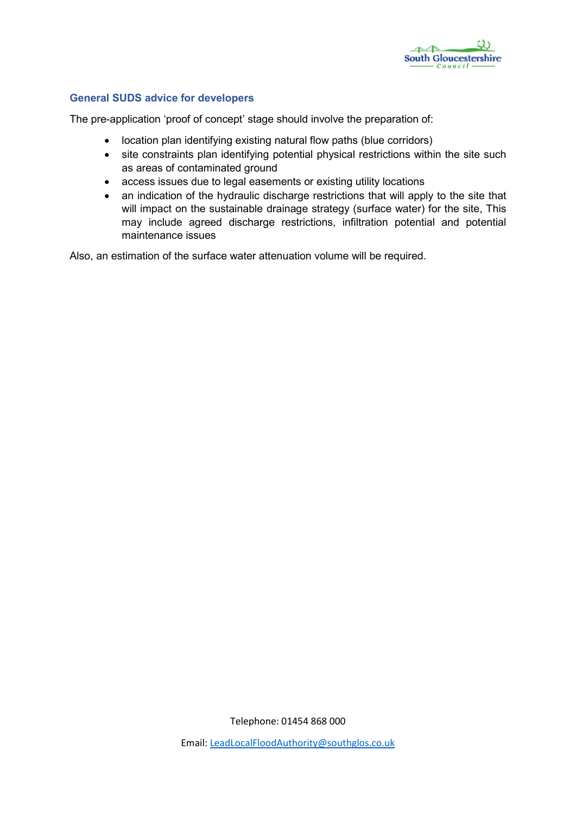

# General SUDS advice for developers

The pre-application 'proof of concept' stage should involve the preparation of:

- location plan identifying existing natural flow paths (blue corridors)
- site constraints plan identifying potential physical restrictions within the site such as areas of contaminated ground
- access issues due to legal easements or existing utility locations
- an indication of the hydraulic discharge restrictions that will apply to the site that will impact on the sustainable drainage strategy (surface water) for the site, This may include agreed discharge restrictions, infiltration potential and potential maintenance issues

Also, an estimation of the surface water attenuation volume will be required.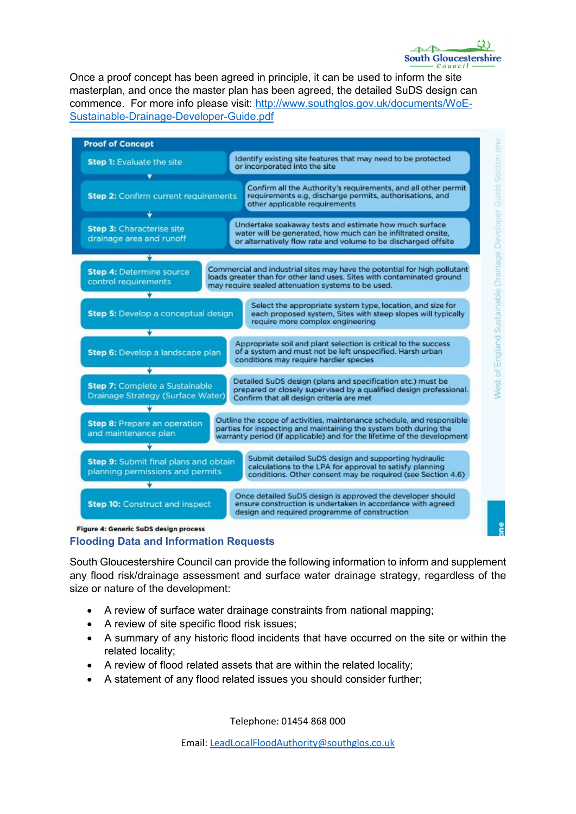Once a proof concept has been agreed in principle, it can be used to inform the site masterplan, and once the master plan has been agreed, the detailed SuDS design can commence. For more info please visit: [http://www.southglos.gov.uk/documents/WoE-](http://www.southglos.gov.uk/documents/WoE-Sustainable-Drainage-Developer-Guide.pdf)[Sustainable-Drainage-Developer-Guide.pdf](http://www.southglos.gov.uk/documents/WoE-Sustainable-Drainage-Developer-Guide.pdf)



Flooding Data and Information Requests

South Gloucestershire Council can provide the following information to inform and supplement any flood risk/drainage assessment and surface water drainage strategy, regardless of the size or nature of the development:

- A review of surface water drainage constraints from national mapping;
- A review of site specific flood risk issues;
- A summary of any historic flood incidents that have occurred on the site or within the related locality;
- A review of flood related assets that are within the related locality;
- A statement of any flood related issues you should consider further;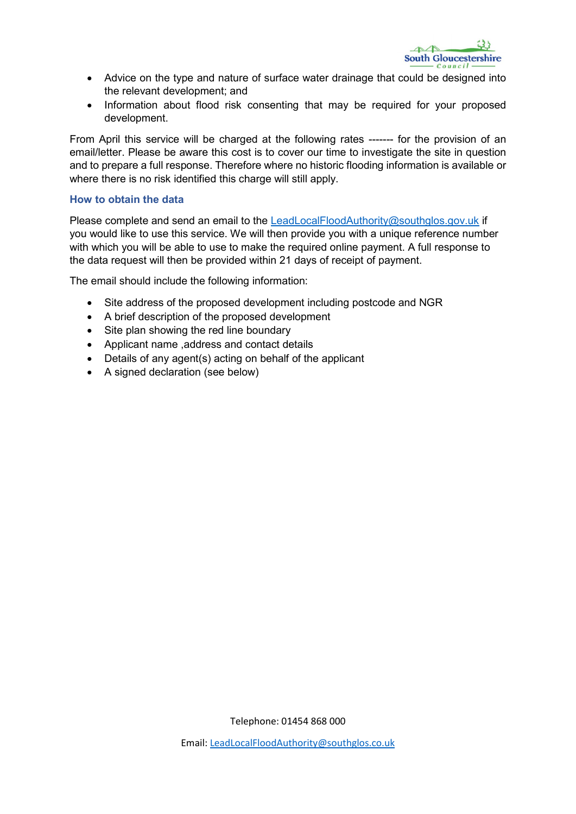

- Advice on the type and nature of surface water drainage that could be designed into the relevant development; and
- Information about flood risk consenting that may be required for your proposed development.

From April this service will be charged at the following rates ------- for the provision of an email/letter. Please be aware this cost is to cover our time to investigate the site in question and to prepare a full response. Therefore where no historic flooding information is available or where there is no risk identified this charge will still apply.

#### How to obtain the data

Please complete and send an email to the [LeadLocalFloodAuthority@southglos.gov.uk](mailto:LeadLocalFloodAuthority@southglos.gov.uk) if you would like to use this service. We will then provide you with a unique reference number with which you will be able to use to make the required online payment. A full response to the data request will then be provided within 21 days of receipt of payment.

The email should include the following information:

- Site address of the proposed development including postcode and NGR
- A brief description of the proposed development
- Site plan showing the red line boundary
- Applicant name ,address and contact details
- Details of any agent(s) acting on behalf of the applicant
- A signed declaration (see below)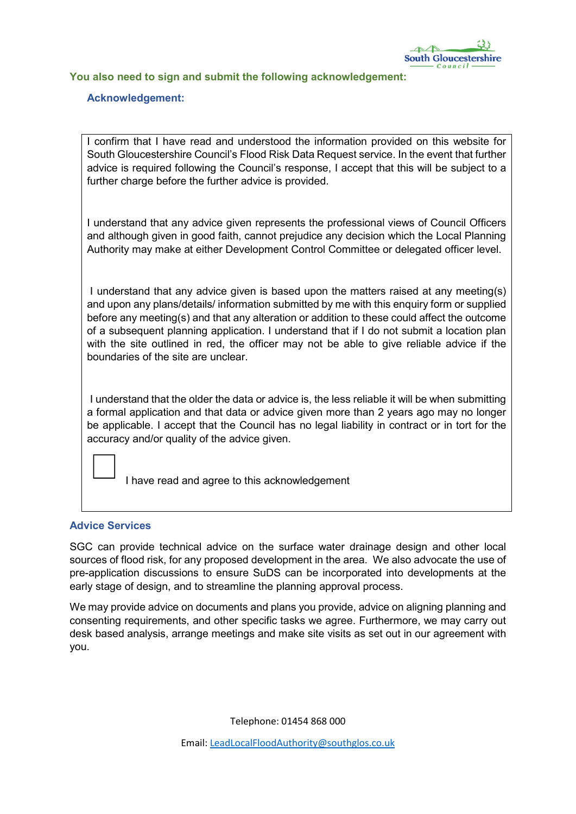

## You also need to sign and submit the following acknowledgement:

### Acknowledgement:

I confirm that I have read and understood the information provided on this website for South Gloucestershire Council's Flood Risk Data Request service. In the event that further advice is required following the Council's response, I accept that this will be subject to a further charge before the further advice is provided.

I understand that any advice given represents the professional views of Council Officers and although given in good faith, cannot prejudice any decision which the Local Planning Authority may make at either Development Control Committee or delegated officer level.

I understand that any advice given is based upon the matters raised at any meeting(s) and upon any plans/details/ information submitted by me with this enquiry form or supplied before any meeting(s) and that any alteration or addition to these could affect the outcome of a subsequent planning application. I understand that if I do not submit a location plan with the site outlined in red, the officer may not be able to give reliable advice if the boundaries of the site are unclear.

I understand that the older the data or advice is, the less reliable it will be when submitting a formal application and that data or advice given more than 2 years ago may no longer be applicable. I accept that the Council has no legal liability in contract or in tort for the accuracy and/or quality of the advice given.

I have read and agree to this acknowledgement

#### Advice Services

SGC can provide technical advice on the surface water drainage design and other local sources of flood risk, for any proposed development in the area. We also advocate the use of pre-application discussions to ensure SuDS can be incorporated into developments at the early stage of design, and to streamline the planning approval process.

We may provide advice on documents and plans you provide, advice on aligning planning and consenting requirements, and other specific tasks we agree. Furthermore, we may carry out desk based analysis, arrange meetings and make site visits as set out in our agreement with you.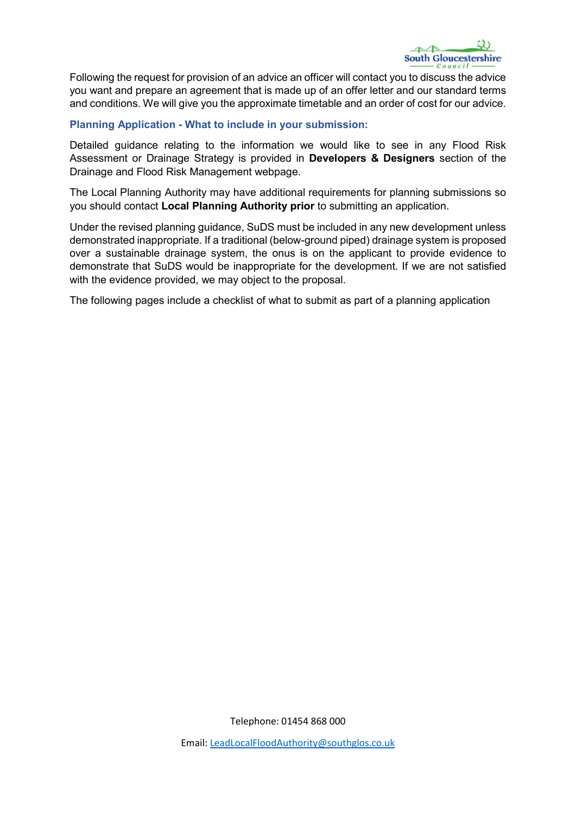

Following the request for provision of an advice an officer will contact you to discuss the advice you want and prepare an agreement that is made up of an offer letter and our standard terms and conditions. We will give you the approximate timetable and an order of cost for our advice.

## Planning Application - What to include in your submission:

Detailed guidance relating to the information we would like to see in any Flood Risk Assessment or Drainage Strategy is provided in Developers & Designers section of the Drainage and Flood Risk Management webpage.

The Local Planning Authority may have additional requirements for planning submissions so you should contact Local Planning Authority prior to submitting an application.

Under the revised planning guidance, SuDS must be included in any new development unless demonstrated inappropriate. If a traditional (below-ground piped) drainage system is proposed over a sustainable drainage system, the onus is on the applicant to provide evidence to demonstrate that SuDS would be inappropriate for the development. If we are not satisfied with the evidence provided, we may object to the proposal.

The following pages include a checklist of what to submit as part of a planning application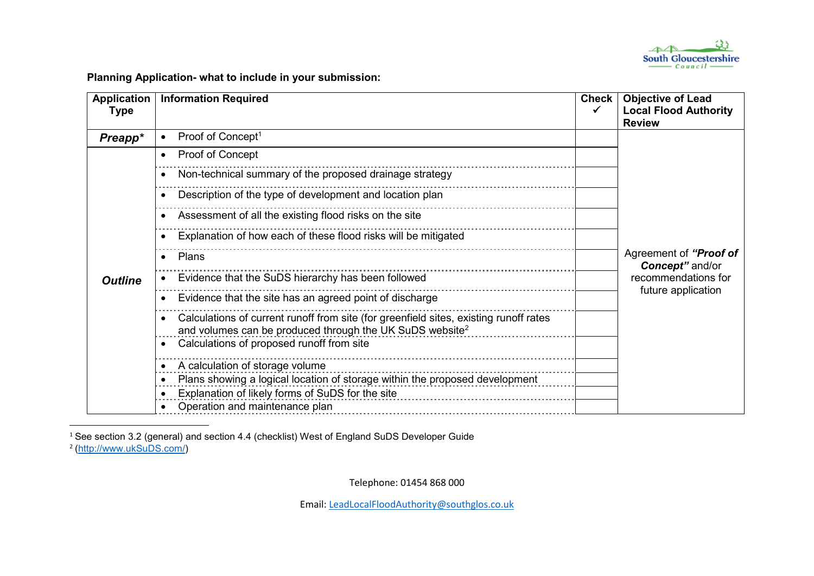

Planning Application- what to include in your submission:

| <b>Application</b><br><b>Type</b> | <b>Information Required</b>                                                                                                                                   | <b>Check</b> | <b>Objective of Lead</b><br><b>Local Flood Authority</b><br><b>Review</b>              |
|-----------------------------------|---------------------------------------------------------------------------------------------------------------------------------------------------------------|--------------|----------------------------------------------------------------------------------------|
| Preapp*                           | Proof of Concept <sup>1</sup>                                                                                                                                 |              | Agreement of "Proof of<br>Concept" and/or<br>recommendations for<br>future application |
| <b>Outline</b>                    | Proof of Concept<br>$\bullet$                                                                                                                                 |              |                                                                                        |
|                                   | Non-technical summary of the proposed drainage strategy                                                                                                       |              |                                                                                        |
|                                   | Description of the type of development and location plan                                                                                                      |              |                                                                                        |
|                                   | Assessment of all the existing flood risks on the site                                                                                                        |              |                                                                                        |
|                                   | Explanation of how each of these flood risks will be mitigated                                                                                                |              |                                                                                        |
|                                   | Plans                                                                                                                                                         |              |                                                                                        |
|                                   | Evidence that the SuDS hierarchy has been followed                                                                                                            |              |                                                                                        |
|                                   | Evidence that the site has an agreed point of discharge                                                                                                       |              |                                                                                        |
|                                   | Calculations of current runoff from site (for greenfield sites, existing runoff rates<br>and volumes can be produced through the UK SuDS website <sup>2</sup> |              |                                                                                        |
|                                   | Calculations of proposed runoff from site                                                                                                                     |              |                                                                                        |
|                                   | A calculation of storage volume                                                                                                                               |              |                                                                                        |
|                                   | Plans showing a logical location of storage within the proposed development                                                                                   |              |                                                                                        |
|                                   | Explanation of likely forms of SuDS for the site                                                                                                              |              |                                                                                        |
|                                   | Operation and maintenance plan                                                                                                                                |              |                                                                                        |

 $^1$  See section 3.2 (general) and section 4.4 (checklist) West of England SuDS Developer Guide <sup>2</sup> (http://www.ukSuDS.com/)

Telephone: 01454 868 000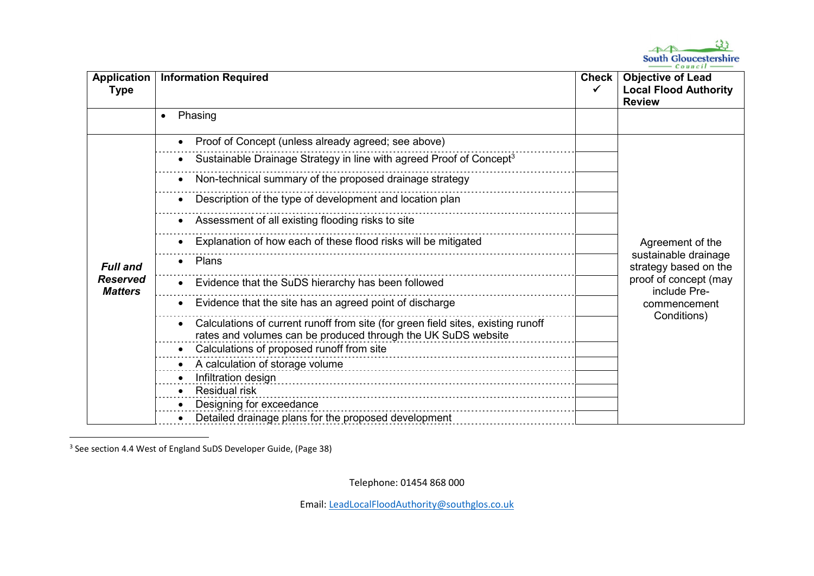

| Application<br>Type                                  | <b>Information Required</b>                                                                                                                       | <b>Check</b><br>✓ | <b>Objective of Lead</b><br><b>Local Flood Authority</b><br><b>Review</b>                                                                 |
|------------------------------------------------------|---------------------------------------------------------------------------------------------------------------------------------------------------|-------------------|-------------------------------------------------------------------------------------------------------------------------------------------|
|                                                      | Phasing<br>$\bullet$                                                                                                                              |                   |                                                                                                                                           |
| <b>Full and</b><br><b>Reserved</b><br><b>Matters</b> | Proof of Concept (unless already agreed; see above)                                                                                               |                   | Agreement of the<br>sustainable drainage<br>strategy based on the<br>proof of concept (may<br>include Pre-<br>commencement<br>Conditions) |
|                                                      | Sustainable Drainage Strategy in line with agreed Proof of Concept <sup>3</sup>                                                                   |                   |                                                                                                                                           |
|                                                      | Non-technical summary of the proposed drainage strategy                                                                                           |                   |                                                                                                                                           |
|                                                      | Description of the type of development and location plan                                                                                          |                   |                                                                                                                                           |
|                                                      | Assessment of all existing flooding risks to site                                                                                                 |                   |                                                                                                                                           |
|                                                      | Explanation of how each of these flood risks will be mitigated                                                                                    |                   |                                                                                                                                           |
|                                                      | Plans                                                                                                                                             |                   |                                                                                                                                           |
|                                                      | Evidence that the SuDS hierarchy has been followed                                                                                                |                   |                                                                                                                                           |
|                                                      | Evidence that the site has an agreed point of discharge                                                                                           |                   |                                                                                                                                           |
|                                                      | Calculations of current runoff from site (for green field sites, existing runoff<br>rates and volumes can be produced through the UK SuDS website |                   |                                                                                                                                           |
|                                                      | Calculations of proposed runoff from site                                                                                                         |                   |                                                                                                                                           |
|                                                      | A calculation of storage volume                                                                                                                   |                   |                                                                                                                                           |
|                                                      | Infiltration design                                                                                                                               |                   |                                                                                                                                           |
|                                                      | <b>Residual risk</b>                                                                                                                              |                   |                                                                                                                                           |
|                                                      | Designing for exceedance                                                                                                                          |                   |                                                                                                                                           |
|                                                      | Detailed drainage plans for the proposed development                                                                                              |                   |                                                                                                                                           |

<sup>3</sup> See section 4.4 West of England SuDS Developer Guide, (Page 38)

Telephone: 01454 868 000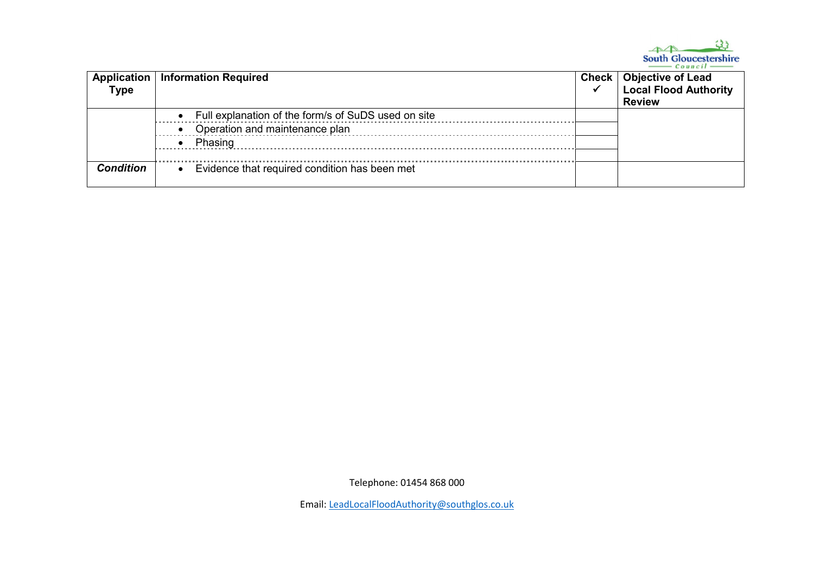

| <b>Type</b>      | Application   Information Required                    | Check   Objective of Lead<br><b>Local Flood Authority</b><br><b>Review</b> |
|------------------|-------------------------------------------------------|----------------------------------------------------------------------------|
|                  | • Full explanation of the form/s of SuDS used on site |                                                                            |
|                  | • Operation and maintenance plan                      |                                                                            |
|                  | Phasing                                               |                                                                            |
|                  |                                                       |                                                                            |
| <b>Condition</b> | Evidence that required condition has been met         |                                                                            |

Telephone: 01454 868 000